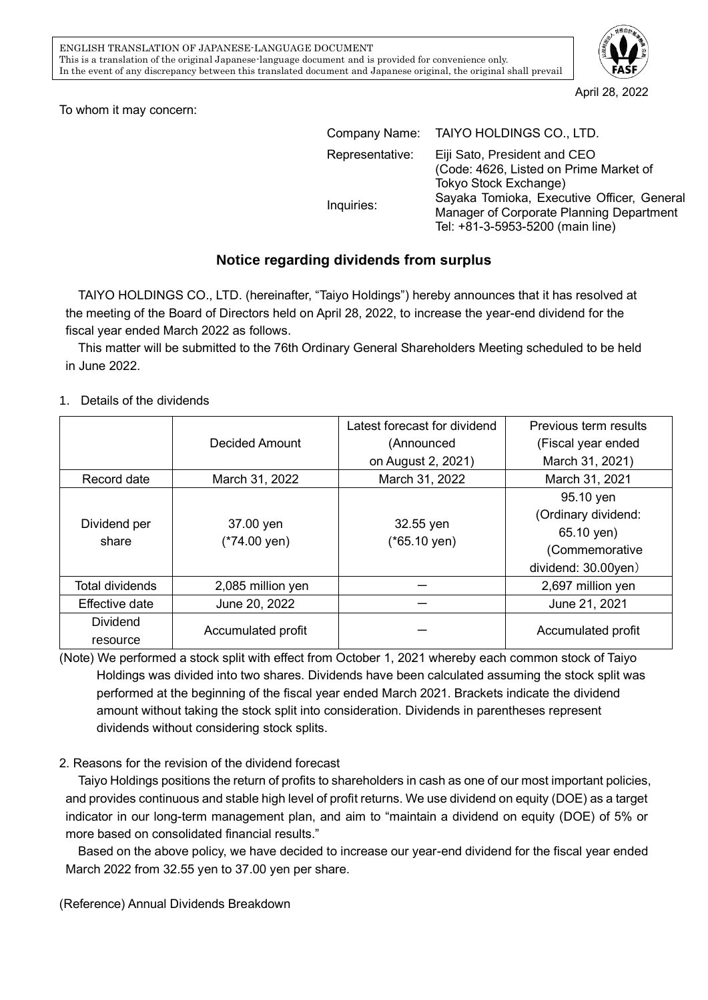

April 28, 2022

To whom it may concern:

|                 | Company Name: TAIYO HOLDINGS CO., LTD.     |  |  |  |
|-----------------|--------------------------------------------|--|--|--|
| Representative: | Eiji Sato, President and CEO               |  |  |  |
|                 | (Code: 4626, Listed on Prime Market of     |  |  |  |
| Inquiries:      | Tokyo Stock Exchange)                      |  |  |  |
|                 | Sayaka Tomioka, Executive Officer, General |  |  |  |
|                 | Manager of Corporate Planning Department   |  |  |  |
|                 | Tel: +81-3-5953-5200 (main line)           |  |  |  |

## **Notice regarding dividends from surplus**

TAIYO HOLDINGS CO., LTD. (hereinafter, "Taiyo Holdings") hereby announces that it has resolved at the meeting of the Board of Directors held on April 28, 2022, to increase the year-end dividend for the fiscal year ended March 2022 as follows.

This matter will be submitted to the 76th Ordinary General Shareholders Meeting scheduled to be held in June 2022.

## 1. Details of the dividends

|                       |                                      | Latest forecast for dividend         | Previous term results |
|-----------------------|--------------------------------------|--------------------------------------|-----------------------|
|                       | Decided Amount                       | (Announced                           | (Fiscal year ended    |
|                       |                                      | on August 2, 2021)                   | March 31, 2021)       |
| Record date           | March 31, 2022                       | March 31, 2022                       | March 31, 2021        |
| Dividend per<br>share | 37.00 yen<br>$(*74.00 \,\text{yen})$ | 32.55 yen<br>$(*65.10 \,\text{yen})$ | 95.10 yen             |
|                       |                                      |                                      | (Ordinary dividend:   |
|                       |                                      |                                      | 65.10 yen)            |
|                       |                                      |                                      | (Commemorative        |
|                       |                                      |                                      | dividend: 30.00yen)   |
| Total dividends       | 2,085 million yen                    |                                      | 2,697 million yen     |
| <b>Effective date</b> | June 20, 2022                        |                                      | June 21, 2021         |
| <b>Dividend</b>       |                                      |                                      | Accumulated profit    |
| resource              | Accumulated profit                   |                                      |                       |

(Note) We performed a stock split with effect from October 1, 2021 whereby each common stock of Taiyo Holdings was divided into two shares. Dividends have been calculated assuming the stock split was performed at the beginning of the fiscal year ended March 2021. Brackets indicate the dividend amount without taking the stock split into consideration. Dividends in parentheses represent dividends without considering stock splits.

## 2. Reasons for the revision of the dividend forecast

Taiyo Holdings positions the return of profits to shareholders in cash as one of our most important policies, and provides continuous and stable high level of profit returns. We use dividend on equity (DOE) as a target indicator in our long-term management plan, and aim to "maintain a dividend on equity (DOE) of 5% or more based on consolidated financial results."

Based on the above policy, we have decided to increase our year-end dividend for the fiscal year ended March 2022 from 32.55 yen to 37.00 yen per share.

(Reference) Annual Dividends Breakdown